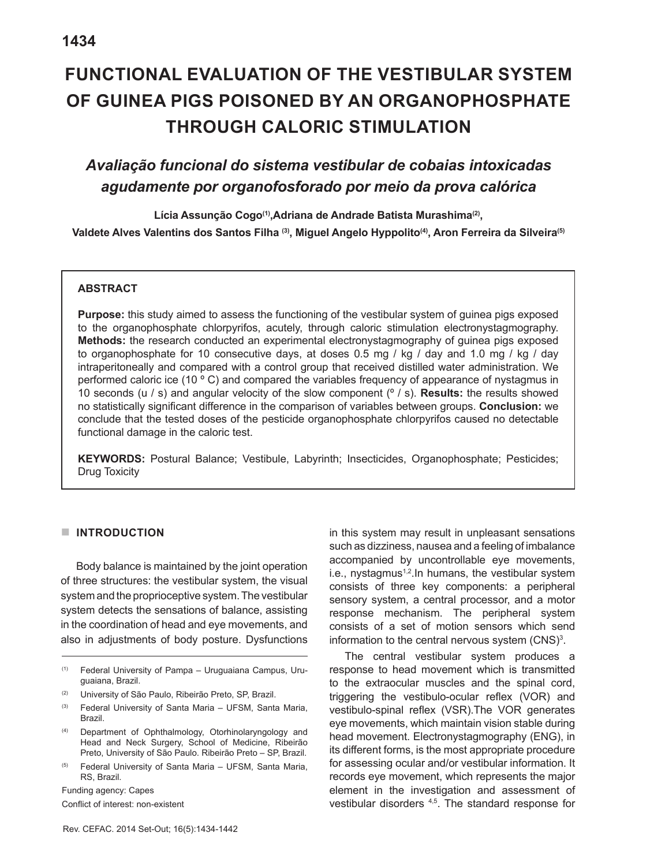# **FUNCTIONAL EVALUATION OF THE VESTIBULAR SYSTEM OF GUINEA PIGS POISONED BY AN ORGANOPHOSPHATE THROUGH CALORIC STIMULATION**

# *Avaliação funcional do sistema vestibular de cobaias intoxicadas agudamente por organofosforado por meio da prova calórica*

**Lícia Assunção Cogo(1),Adriana de Andrade Batista Murashima(2),** 

**Valdete Alves Valentins dos Santos Filha (3), Miguel Angelo Hyppolito(4), Aron Ferreira da Silveira(5)**

# **ABSTRACT**

**Purpose:** this study aimed to assess the functioning of the vestibular system of guinea pigs exposed to the organophosphate chlorpyrifos, acutely, through caloric stimulation electronystagmography. **Methods:** the research conducted an experimental electronystagmography of guinea pigs exposed to organophosphate for 10 consecutive days, at doses 0.5 mg / kg / day and 1.0 mg / kg / day intraperitoneally and compared with a control group that received distilled water administration. We performed caloric ice (10 º C) and compared the variables frequency of appearance of nystagmus in 10 seconds (u / s) and angular velocity of the slow component (º / s). **Results:** the results showed no statistically significant difference in the comparison of variables between groups. **Conclusion:** we conclude that the tested doses of the pesticide organophosphate chlorpyrifos caused no detectable functional damage in the caloric test.

**KEYWORDS:** Postural Balance; Vestibule, Labyrinth; Insecticides, Organophosphate; Pesticides; Drug Toxicity

# **INTRODUCTION**

Body balance is maintained by the joint operation of three structures: the vestibular system, the visual system and the proprioceptive system. The vestibular system detects the sensations of balance, assisting in the coordination of head and eye movements, and also in adjustments of body posture. Dysfunctions

Funding agency: Capes Conflict of interest: non-existent in this system may result in unpleasant sensations such as dizziness, nausea and a feeling of imbalance accompanied by uncontrollable eye movements, i.e., nystagmus<sup>1,2</sup>. In humans, the vestibular system consists of three key components: a peripheral sensory system, a central processor, and a motor response mechanism. The peripheral system consists of a set of motion sensors which send information to the central nervous system  $(CNS)^3$ .

The central vestibular system produces a response to head movement which is transmitted to the extraocular muscles and the spinal cord, triggering the vestibulo-ocular reflex (VOR) and vestibulo-spinal reflex (VSR).The VOR generates eye movements, which maintain vision stable during head movement. Electronystagmography (ENG), in its different forms, is the most appropriate procedure for assessing ocular and/or vestibular information. It records eye movement, which represents the major element in the investigation and assessment of vestibular disorders 4,5. The standard response for

<sup>(1)</sup> Federal University of Pampa – Uruguaiana Campus, Uruguaiana, Brazil.

<sup>(2)</sup> University of São Paulo, Ribeirão Preto, SP, Brazil.

<sup>(3)</sup> Federal University of Santa Maria – UFSM, Santa Maria, Brazil.

<sup>(4)</sup> Department of Ophthalmology, Otorhinolaryngology and Head and Neck Surgery, School of Medicine, Ribeirão Preto, University of São Paulo. Ribeirão Preto – SP, Brazil.

<sup>(5)</sup> Federal University of Santa Maria – UFSM, Santa Maria, RS, Brazil.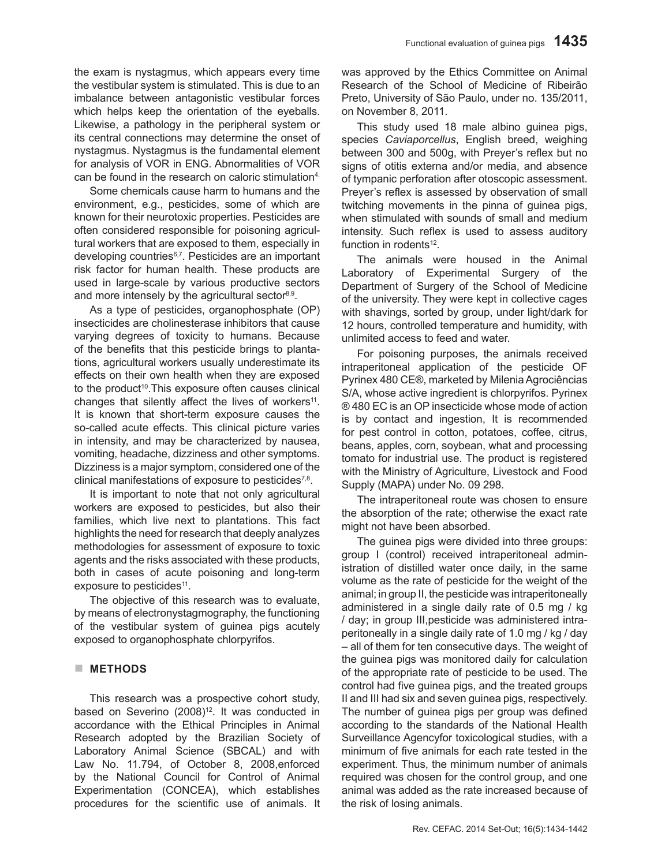the exam is nystagmus, which appears every time the vestibular system is stimulated. This is due to an imbalance between antagonistic vestibular forces which helps keep the orientation of the eyeballs. Likewise, a pathology in the peripheral system or its central connections may determine the onset of nystagmus. Nystagmus is the fundamental element for analysis of VOR in ENG. Abnormalities of VOR can be found in the research on caloric stimulation<sup>4.</sup>

Some chemicals cause harm to humans and the environment, e.g., pesticides, some of which are known for their neurotoxic properties. Pesticides are often considered responsible for poisoning agricultural workers that are exposed to them, especially in developing countries6,7. Pesticides are an important risk factor for human health. These products are used in large-scale by various productive sectors and more intensely by the agricultural sector<sup>8,9</sup>.

As a type of pesticides, organophosphate (OP) insecticides are cholinesterase inhibitors that cause varying degrees of toxicity to humans. Because of the benefits that this pesticide brings to plantations, agricultural workers usually underestimate its effects on their own health when they are exposed to the product<sup>10</sup>. This exposure often causes clinical changes that silently affect the lives of workers<sup>11</sup>. It is known that short-term exposure causes the so-called acute effects. This clinical picture varies in intensity, and may be characterized by nausea, vomiting, headache, dizziness and other symptoms. Dizziness is a major symptom, considered one of the clinical manifestations of exposure to pesticides<sup> $7,8$ </sup>.

It is important to note that not only agricultural workers are exposed to pesticides, but also their families, which live next to plantations. This fact highlights the need for research that deeply analyzes methodologies for assessment of exposure to toxic agents and the risks associated with these products, both in cases of acute poisoning and long-term exposure to pesticides<sup>11</sup>.

The objective of this research was to evaluate, by means of electronystagmography, the functioning of the vestibular system of guinea pigs acutely exposed to organophosphate chlorpyrifos.

# **METHODS**

This research was a prospective cohort study, based on Severino (2008)<sup>12</sup>. It was conducted in accordance with the Ethical Principles in Animal Research adopted by the Brazilian Society of Laboratory Animal Science (SBCAL) and with Law No. 11.794, of October 8, 2008,enforced by the National Council for Control of Animal Experimentation (CONCEA), which establishes procedures for the scientific use of animals. It was approved by the Ethics Committee on Animal Research of the School of Medicine of Ribeirão Preto, University of São Paulo, under no. 135/2011, on November 8, 2011.

This study used 18 male albino guinea pigs, species *Caviaporcellus*, English breed, weighing between 300 and 500g, with Preyer's reflex but no signs of otitis externa and/or media, and absence of tympanic perforation after otoscopic assessment. Preyer's reflex is assessed by observation of small twitching movements in the pinna of guinea pigs, when stimulated with sounds of small and medium intensity. Such reflex is used to assess auditory function in rodents<sup>12</sup>.

The animals were housed in the Animal Laboratory of Experimental Surgery of the Department of Surgery of the School of Medicine of the university. They were kept in collective cages with shavings, sorted by group, under light/dark for 12 hours, controlled temperature and humidity, with unlimited access to feed and water.

For poisoning purposes, the animals received intraperitoneal application of the pesticide OF Pyrinex 480 CE®, marketed by Milenia Agrociências S/A, whose active ingredient is chlorpyrifos. Pyrinex ® 480 EC is an OP insecticide whose mode of action is by contact and ingestion, It is recommended for pest control in cotton, potatoes, coffee, citrus, beans, apples, corn, soybean, what and processing tomato for industrial use. The product is registered with the Ministry of Agriculture, Livestock and Food Supply (MAPA) under No. 09 298.

The intraperitoneal route was chosen to ensure the absorption of the rate; otherwise the exact rate might not have been absorbed.

The guinea pigs were divided into three groups: group I (control) received intraperitoneal administration of distilled water once daily, in the same volume as the rate of pesticide for the weight of the animal; in group II, the pesticide was intraperitoneally administered in a single daily rate of 0.5 mg / kg / day; in group III,pesticide was administered intraperitoneally in a single daily rate of 1.0 mg / kg / day – all of them for ten consecutive days. The weight of the guinea pigs was monitored daily for calculation of the appropriate rate of pesticide to be used. The control had five guinea pigs, and the treated groups II and III had six and seven guinea pigs, respectively. The number of guinea pigs per group was defined according to the standards of the National Health Surveillance Agencyfor toxicological studies, with a minimum of five animals for each rate tested in the experiment. Thus, the minimum number of animals required was chosen for the control group, and one animal was added as the rate increased because of the risk of losing animals.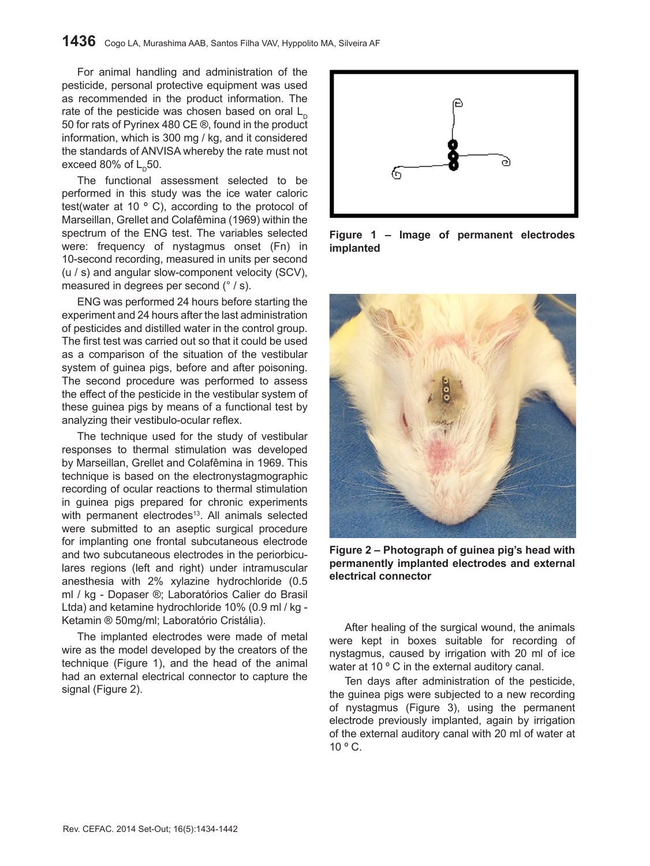For animal handling and administration of the pesticide, personal protective equipment was used as recommended in the product information. The rate of the pesticide was chosen based on oral  $L_{p}$ 50 for rats of Pyrinex 480 CE ®, found in the product information, which is 300 mg / kg, and it considered the standards of ANVISA whereby the rate must not exceed  $80\%$  of  $L_50$ .

The functional assessment selected to be performed in this study was the ice water caloric test(water at 10 º C), according to the protocol of Marseillan, Grellet and Colafêmina (1969) within the spectrum of the ENG test. The variables selected were: frequency of nystagmus onset (Fn) in 10-second recording, measured in units per second (u / s) and angular slow-component velocity (SCV), measured in degrees per second (° / s).

ENG was performed 24 hours before starting the experiment and 24 hours after the last administration of pesticides and distilled water in the control group. The first test was carried out so that it could be used as a comparison of the situation of the vestibular system of guinea pigs, before and after poisoning. The second procedure was performed to assess the effect of the pesticide in the vestibular system of these guinea pigs by means of a functional test by analyzing their vestibulo-ocular reflex.

The technique used for the study of vestibular responses to thermal stimulation was developed by Marseillan, Grellet and Colafêmina in 1969. This technique is based on the electronystagmographic recording of ocular reactions to thermal stimulation in guinea pigs prepared for chronic experiments with permanent electrodes<sup>13</sup>. All animals selected were submitted to an aseptic surgical procedure for implanting one frontal subcutaneous electrode and two subcutaneous electrodes in the periorbiculares regions (left and right) under intramuscular anesthesia with 2% xylazine hydrochloride (0.5 ml / kg - Dopaser ®; Laboratórios Calier do Brasil Ltda) and ketamine hydrochloride 10% (0.9 ml / kg - Ketamin ® 50mg/ml; Laboratório Cristália).

The implanted electrodes were made of metal wire as the model developed by the creators of the technique (Figure 1), and the head of the animal had an external electrical connector to capture the signal (Figure 2).



**Figure 1 – Image of permanent electrodes implanted**



**Figure 2 – Photograph of guinea pig's head with permanently implanted electrodes and external electrical connector**

After healing of the surgical wound, the animals were kept in boxes suitable for recording of nystagmus, caused by irrigation with 20 ml of ice water at 10 ° C in the external auditory canal.

Ten days after administration of the pesticide, the guinea pigs were subjected to a new recording of nystagmus (Figure 3), using the permanent electrode previously implanted, again by irrigation of the external auditory canal with 20 ml of water at  $10^{\circ}$  C.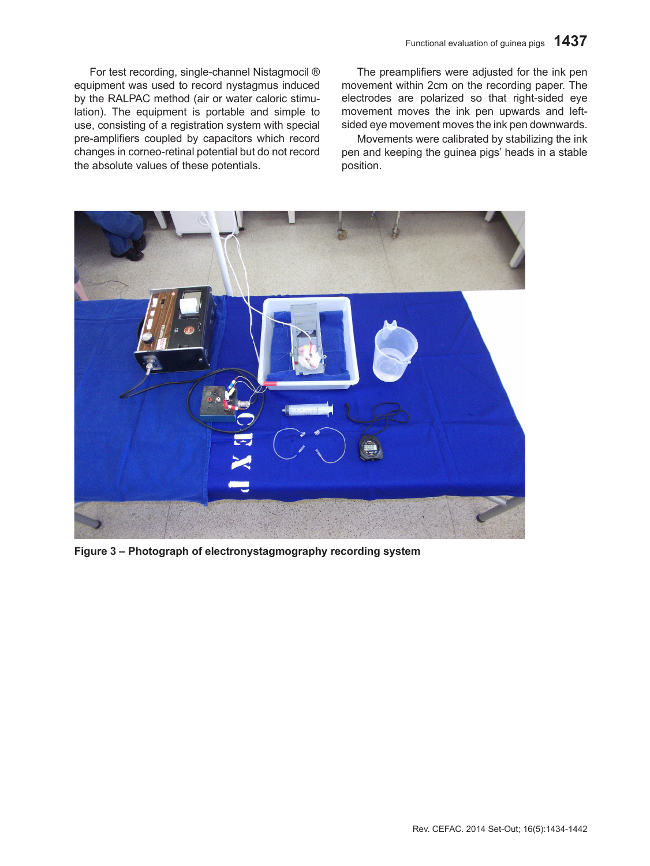For test recording, single-channel Nistagmocil ® equipment was used to record nystagmus induced by the RALPAC method (air or water caloric stimulation). The equipment is portable and simple to use, consisting of a registration system with special pre-amplifiers coupled by capacitors which record changes in corneo-retinal potential but do not record the absolute values of these potentials.

The preamplifiers were adjusted for the ink pen movement within 2cm on the recording paper. The electrodes are polarized so that right-sided eye movement moves the ink pen upwards and leftsided eye movement moves the ink pen downwards.

Movements were calibrated by stabilizing the ink pen and keeping the guinea pigs' heads in a stable position.



**Figure 3 – Photograph of electronystagmography recording system**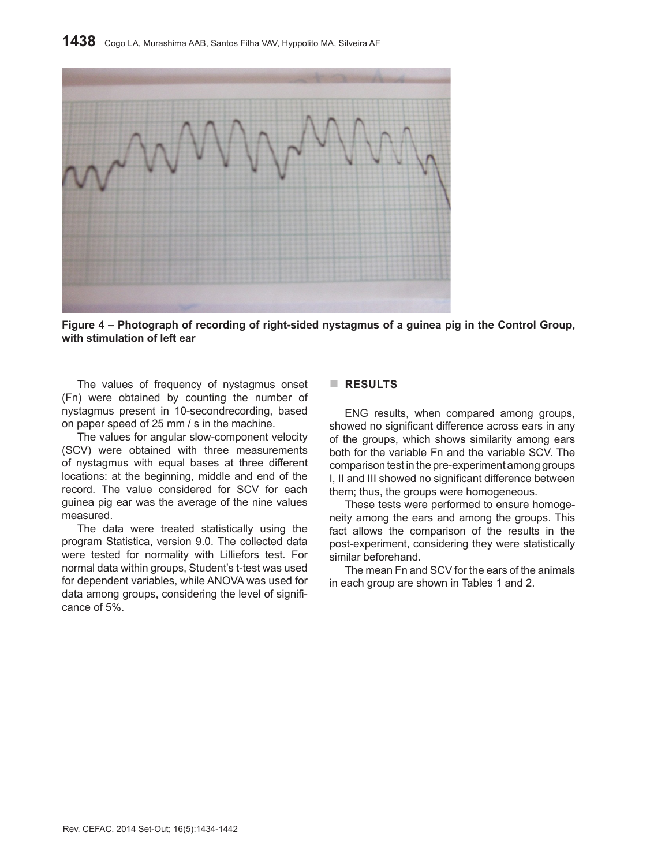

**Figure 4 – Photograph of recording of right-sided nystagmus of a guinea pig in the Control Group, with stimulation of left ear**

The values of frequency of nystagmus onset (Fn) were obtained by counting the number of nystagmus present in 10-secondrecording, based on paper speed of 25 mm / s in the machine.

The values for angular slow-component velocity (SCV) were obtained with three measurements of nystagmus with equal bases at three different locations: at the beginning, middle and end of the record. The value considered for SCV for each guinea pig ear was the average of the nine values measured.

The data were treated statistically using the program Statistica, version 9.0. The collected data were tested for normality with Lilliefors test. For normal data within groups, Student's t-test was used for dependent variables, while ANOVA was used for data among groups, considering the level of significance of 5%.

#### **RESULTS**

ENG results, when compared among groups, showed no significant difference across ears in any of the groups, which shows similarity among ears both for the variable Fn and the variable SCV. The comparison test in the pre-experiment among groups I, II and III showed no significant difference between them; thus, the groups were homogeneous.

These tests were performed to ensure homogeneity among the ears and among the groups. This fact allows the comparison of the results in the post-experiment, considering they were statistically similar beforehand.

The mean Fn and SCV for the ears of the animals in each group are shown in Tables 1 and 2.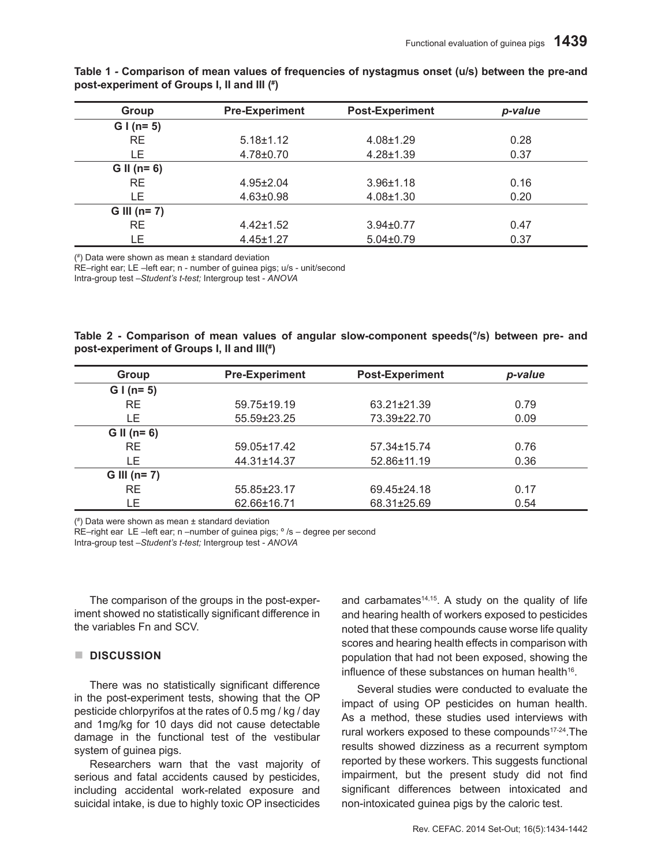| Group            | <b>Pre-Experiment</b> | <b>Post-Experiment</b> | p-value |  |
|------------------|-----------------------|------------------------|---------|--|
| $G I (n= 5)$     |                       |                        |         |  |
| <b>RE</b>        | $5.18 \pm 1.12$       | $4.08 \pm 1.29$        | 0.28    |  |
| LE               | $4.78 \pm 0.70$       | $4.28 \pm 1.39$        | 0.37    |  |
| G II ( $n = 6$ ) |                       |                        |         |  |
| RE.              | $4.95 \pm 2.04$       | $3.96 \pm 1.18$        | 0.16    |  |
| LE               | $4.63 \pm 0.98$       | $4.08 \pm 1.30$        | 0.20    |  |
| G III ( $n=7$ )  |                       |                        |         |  |
| <b>RE</b>        | $4.42 \pm 1.52$       | $3.94 \pm 0.77$        | 0.47    |  |
| LE               | $4.45 \pm 1.27$       | $5.04 \pm 0.79$        | 0.37    |  |

**Table 1** *-* **Comparison of mean values of frequencies of nystagmus onset (u/s) between the pre-and post-experiment of Groups I, II and III (# )**

(# ) Data were shown as mean ± standard deviation

RE–right ear; LE –left ear; n - number of guinea pigs; u/s - unit/second

Intra-group test –*Student's t-test;* Intergroup test - *ANOVA*

|                                            |  | Table 2 - Comparison of mean values of angular slow-component speeds(°/s) between pre- and |  |  |
|--------------------------------------------|--|--------------------------------------------------------------------------------------------|--|--|
| post-experiment of Groups I, II and III(#) |  |                                                                                            |  |  |

| <b>Group</b>    | <b>Pre-Experiment</b> | <b>Post-Experiment</b> | p-value |
|-----------------|-----------------------|------------------------|---------|
| $G I (n= 5)$    |                       |                        |         |
| <b>RE</b>       | 59.75±19.19           | 63.21±21.39            | 0.79    |
| LE              | 55.59±23.25           | 73.39±22.70            | 0.09    |
| G II ( $n=6$ )  |                       |                        |         |
| <b>RE</b>       | $59.05 \pm 17.42$     | 57.34±15.74            | 0.76    |
| LF              | 44.31±14.37           | 52.86±11.19            | 0.36    |
| G III ( $n=7$ ) |                       |                        |         |
| <b>RE</b>       | 55.85±23.17           | 69.45±24.18            | 0.17    |
| LE              | 62.66±16.71           | 68.31±25.69            | 0.54    |

(# ) Data were shown as mean ± standard deviation

RE–right ear LE –left ear; n –number of guinea pigs; º /s – degree per second

Intra-group test –*Student's t-test;* Intergroup test - *ANOVA*

The comparison of the groups in the post-experiment showed no statistically significant difference in the variables Fn and SCV.

#### **DISCUSSION**

There was no statistically significant difference in the post-experiment tests, showing that the OP pesticide chlorpyrifos at the rates of 0.5 mg / kg / day and 1mg/kg for 10 days did not cause detectable damage in the functional test of the vestibular system of guinea pigs.

Researchers warn that the vast majority of serious and fatal accidents caused by pesticides, including accidental work-related exposure and suicidal intake, is due to highly toxic OP insecticides

and carbamates $14,15$ . A study on the quality of life and hearing health of workers exposed to pesticides noted that these compounds cause worse life quality scores and hearing health effects in comparison with population that had not been exposed, showing the influence of these substances on human health $16$ .

Several studies were conducted to evaluate the impact of using OP pesticides on human health. As a method, these studies used interviews with rural workers exposed to these compounds<sup>17-24</sup>. The results showed dizziness as a recurrent symptom reported by these workers. This suggests functional impairment, but the present study did not find significant differences between intoxicated and non-intoxicated guinea pigs by the caloric test.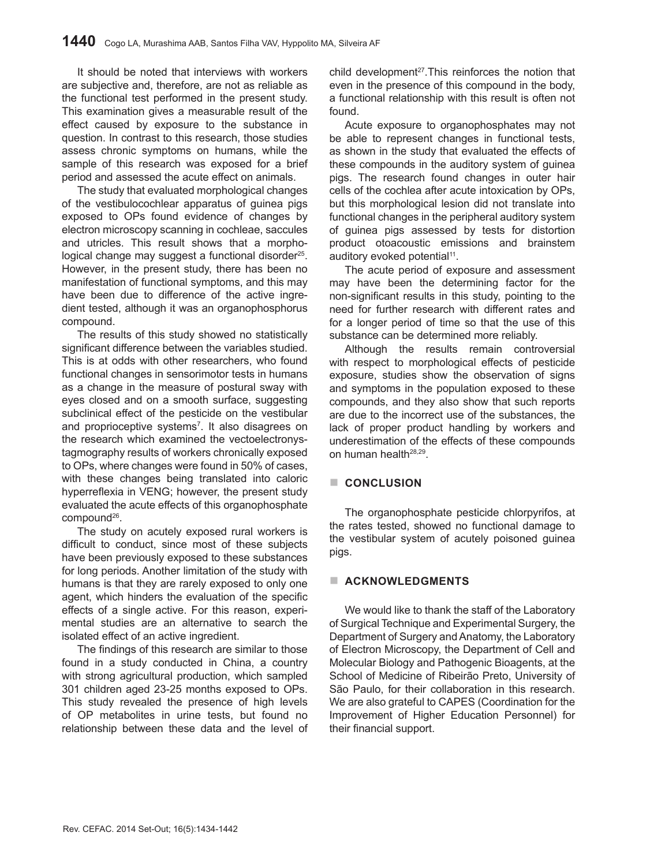It should be noted that interviews with workers are subjective and, therefore, are not as reliable as the functional test performed in the present study. This examination gives a measurable result of the effect caused by exposure to the substance in question. In contrast to this research, those studies assess chronic symptoms on humans, while the sample of this research was exposed for a brief period and assessed the acute effect on animals.

The study that evaluated morphological changes of the vestibulocochlear apparatus of guinea pigs exposed to OPs found evidence of changes by electron microscopy scanning in cochleae, saccules and utricles. This result shows that a morphological change may suggest a functional disorder<sup>25</sup>. However, in the present study, there has been no manifestation of functional symptoms, and this may have been due to difference of the active ingredient tested, although it was an organophosphorus compound.

The results of this study showed no statistically significant difference between the variables studied. This is at odds with other researchers, who found functional changes in sensorimotor tests in humans as a change in the measure of postural sway with eyes closed and on a smooth surface, suggesting subclinical effect of the pesticide on the vestibular and proprioceptive systems<sup>7</sup>. It also disagrees on the research which examined the vectoelectronystagmography results of workers chronically exposed to OPs, where changes were found in 50% of cases, with these changes being translated into caloric hyperreflexia in VENG; however, the present study evaluated the acute effects of this organophosphate compound26.

The study on acutely exposed rural workers is difficult to conduct, since most of these subjects have been previously exposed to these substances for long periods. Another limitation of the study with humans is that they are rarely exposed to only one agent, which hinders the evaluation of the specific effects of a single active. For this reason, experimental studies are an alternative to search the isolated effect of an active ingredient.

The findings of this research are similar to those found in a study conducted in China, a country with strong agricultural production, which sampled 301 children aged 23-25 months exposed to OPs. This study revealed the presence of high levels of OP metabolites in urine tests, but found no relationship between these data and the level of child development $27$ . This reinforces the notion that even in the presence of this compound in the body, a functional relationship with this result is often not found.

Acute exposure to organophosphates may not be able to represent changes in functional tests, as shown in the study that evaluated the effects of these compounds in the auditory system of guinea pigs. The research found changes in outer hair cells of the cochlea after acute intoxication by OPs, but this morphological lesion did not translate into functional changes in the peripheral auditory system of guinea pigs assessed by tests for distortion product otoacoustic emissions and brainstem auditory evoked potential<sup>11</sup>.

The acute period of exposure and assessment may have been the determining factor for the non-significant results in this study, pointing to the need for further research with different rates and for a longer period of time so that the use of this substance can be determined more reliably.

Although the results remain controversial with respect to morphological effects of pesticide exposure, studies show the observation of signs and symptoms in the population exposed to these compounds, and they also show that such reports are due to the incorrect use of the substances, the lack of proper product handling by workers and underestimation of the effects of these compounds on human health<sup>28,29</sup>.

# **CONCLUSION**

The organophosphate pesticide chlorpyrifos, at the rates tested, showed no functional damage to the vestibular system of acutely poisoned guinea pigs.

# **ACKNOWLEDGMENTS**

We would like to thank the staff of the Laboratory of Surgical Technique and Experimental Surgery, the Department of Surgery and Anatomy, the Laboratory of Electron Microscopy, the Department of Cell and Molecular Biology and Pathogenic Bioagents, at the School of Medicine of Ribeirão Preto, University of São Paulo, for their collaboration in this research. We are also grateful to CAPES (Coordination for the Improvement of Higher Education Personnel) for their financial support.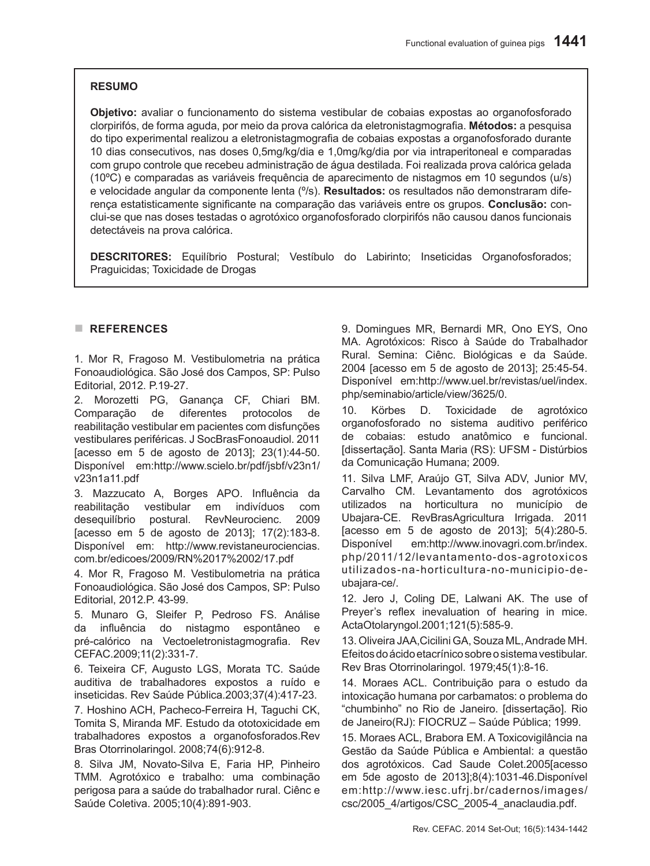# **RESUMO**

**Objetivo:** avaliar o funcionamento do sistema vestibular de cobaias expostas ao organofosforado clorpirifós, de forma aguda, por meio da prova calórica da eletronistagmografia. **Métodos:** a pesquisa do tipo experimental realizou a eletronistagmografia de cobaias expostas a organofosforado durante 10 dias consecutivos, nas doses 0,5mg/kg/dia e 1,0mg/kg/dia por via intraperitoneal e comparadas com grupo controle que recebeu administração de água destilada. Foi realizada prova calórica gelada (10ºC) e comparadas as variáveis frequência de aparecimento de nistagmos em 10 segundos (u/s) e velocidade angular da componente lenta (º/s). **Resultados:** os resultados não demonstraram diferença estatisticamente significante na comparação das variáveis entre os grupos. **Conclusão:** conclui-se que nas doses testadas o agrotóxico organofosforado clorpirifós não causou danos funcionais detectáveis na prova calórica.

**DESCRITORES:** Equilíbrio Postural; Vestíbulo do Labirinto; Inseticidas Organofosforados; Praguicidas; Toxicidade de Drogas

# **REFERENCES**

1. Mor R, Fragoso M. Vestibulometria na prática Fonoaudiológica. São José dos Campos, SP: Pulso Editorial, 2012. P.19-27.

2. Morozetti PG, Ganança CF, Chiari BM. Comparação de diferentes protocolos de reabilitação vestibular em pacientes com disfunções vestibulares periféricas. J SocBrasFonoaudiol. 2011 [acesso em 5 de agosto de 2013]; 23(1):44-50. Disponível em:http://www.scielo.br/pdf/jsbf/v23n1/ v23n1a11.pdf

3. Mazzucato A, Borges APO. Influência da reabilitação vestibular em indivíduos com desequilíbrio postural. RevNeurocienc. 2009 [acesso em 5 de agosto de 2013]; 17(2):183-8. Disponível em: http://www.revistaneurociencias. com.br/edicoes/2009/RN%2017%2002/17.pdf

4. Mor R, Fragoso M. Vestibulometria na prática Fonoaudiológica. São José dos Campos, SP: Pulso Editorial, 2012.P. 43-99.

5. Munaro G, Sleifer P, Pedroso FS. Análise da influência do nistagmo espontâneo e pré-calórico na Vectoeletronistagmografia. Rev CEFAC.2009;11(2):331-7.

6. Teixeira CF, Augusto LGS, Morata TC. Saúde auditiva de trabalhadores expostos a ruído e inseticidas. Rev Saúde Pública.2003;37(4):417-23.

7. Hoshino ACH, Pacheco-Ferreira H, Taguchi CK, Tomita S, Miranda MF. Estudo da ototoxicidade em trabalhadores expostos a organofosforados.Rev Bras Otorrinolaringol. 2008;74(6):912-8.

8. Silva JM, Novato-Silva E, Faria HP, Pinheiro TMM. Agrotóxico e trabalho: uma combinação perigosa para a saúde do trabalhador rural. Ciênc e Saúde Coletiva. 2005;10(4):891-903.

9. Domingues MR, Bernardi MR, Ono EYS, Ono MA. Agrotóxicos: Risco à Saúde do Trabalhador Rural. Semina: Ciênc. Biológicas e da Saúde. 2004 [acesso em 5 de agosto de 2013]; 25:45-54. Disponível em:http://www.uel.br/revistas/uel/index. php/seminabio/article/view/3625/0.

10. Körbes D. Toxicidade de agrotóxico organofosforado no sistema auditivo periférico de cobaias: estudo anatômico e funcional. [dissertação]. Santa Maria (RS): UFSM - Distúrbios da Comunicação Humana; 2009.

11. Silva LMF, Araújo GT, Silva ADV, Junior MV, Carvalho CM. Levantamento dos agrotóxicos utilizados na horticultura no município de Ubajara-CE. RevBrasAgricultura Irrigada. 2011 [acesso em 5 de agosto de 2013]; 5(4):280-5. Disponível em:http://www.inovagri.com.br/index. php/2011/12/levantamento-dos-agrotoxicos utilizados-na-horticultura-no-municipio-deubajara-ce/.

12. Jero J, Coling DE, Lalwani AK. The use of Preyer's reflex inevaluation of hearing in mice. ActaOtolaryngol.2001;121(5):585-9.

13. Oliveira JAA,Cicilini GA, Souza ML, Andrade MH. Efeitos do ácido etacrínico sobre o sistema vestibular. Rev Bras Otorrinolaringol. 1979;45(1):8-16.

14. Moraes ACL. Contribuição para o estudo da intoxicação humana por carbamatos: o problema do "chumbinho" no Rio de Janeiro. [dissertação]. Rio de Janeiro(RJ): FIOCRUZ – Saúde Pública; 1999.

15. Moraes ACL, Brabora EM. A Toxicovigilância na Gestão da Saúde Pública e Ambiental: a questão dos agrotóxicos. Cad Saude Colet.2005[acesso em 5de agosto de 2013];8(4):1031-46.Disponível em:http://www.iesc.ufrj.br/cadernos/images/ csc/2005\_4/artigos/CSC\_2005-4\_anaclaudia.pdf.